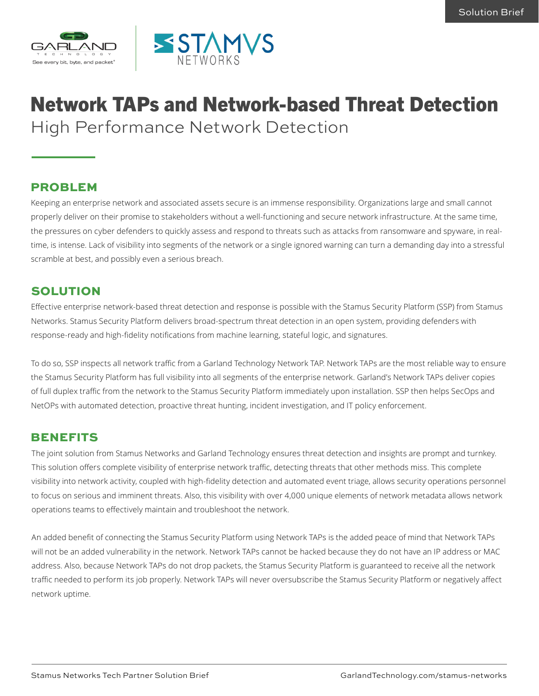



# Network TAPs and Network-based Threat Detection High Performance Network Detection

#### PROBLEM

Keeping an enterprise network and associated assets secure is an immense responsibility. Organizations large and small cannot properly deliver on their promise to stakeholders without a well-functioning and secure network infrastructure. At the same time, the pressures on cyber defenders to quickly assess and respond to threats such as attacks from ransomware and spyware, in realtime, is intense. Lack of visibility into segments of the network or a single ignored warning can turn a demanding day into a stressful scramble at best, and possibly even a serious breach.

#### SOLUTION

Effective enterprise network-based threat detection and response is possible with the Stamus Security Platform (SSP) from Stamus Networks. Stamus Security Platform delivers broad-spectrum threat detection in an open system, providing defenders with response-ready and high-fidelity notifications from machine learning, stateful logic, and signatures.

To do so, SSP inspects all network traffic from a Garland Technology Network TAP. Network TAPs are the most reliable way to ensure the Stamus Security Platform has full visibility into all segments of the enterprise network. Garland's Network TAPs deliver copies of full duplex traffic from the network to the Stamus Security Platform immediately upon installation. SSP then helps SecOps and NetOPs with automated detection, proactive threat hunting, incident investigation, and IT policy enforcement.

#### BENEFITS

The joint solution from Stamus Networks and Garland Technology ensures threat detection and insights are prompt and turnkey. This solution offers complete visibility of enterprise network traffic, detecting threats that other methods miss. This complete visibility into network activity, coupled with high-fidelity detection and automated event triage, allows security operations personnel to focus on serious and imminent threats. Also, this visibility with over 4,000 unique elements of network metadata allows network operations teams to effectively maintain and troubleshoot the network.

An added benefit of connecting the Stamus Security Platform using Network TAPs is the added peace of mind that Network TAPs will not be an added vulnerability in the network. Network TAPs cannot be hacked because they do not have an IP address or MAC address. Also, because Network TAPs do not drop packets, the Stamus Security Platform is guaranteed to receive all the network traffic needed to perform its job properly. Network TAPs will never oversubscribe the Stamus Security Platform or negatively affect network uptime.